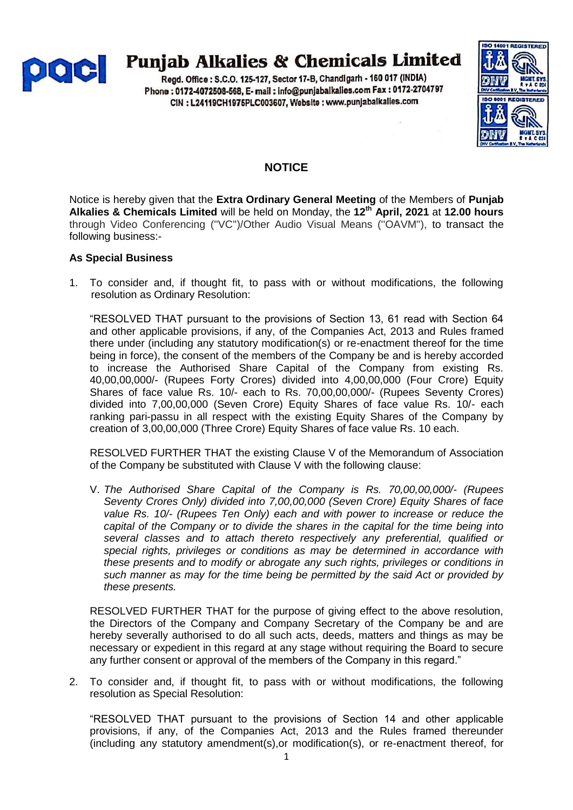

# **Punjab Alkalies & Chemicals Limited**

Regd. Office: S.C.O. 125-127, Sector 17-B, Chandigarh - 160 017 (INDIA) Phone: 0172-4072508-568, E- mail: info@punjabalkalies.com Fax: 0172-2704797 CIN : L24119CH1975PLC003607, Website : www.punjabalkalies.com



# **NOTICE**

Notice is hereby given that the **Extra Ordinary General Meeting** of the Members of **Punjab Alkalies & Chemicals Limited** will be held on Monday, the **12 th April, 2021** at **12.00 hours** through Video Conferencing (''VC'')/Other Audio Visual Means (''OAVM''), to transact the following business:-

# **As Special Business**

1. To consider and, if thought fit, to pass with or without modifications, the following resolution as Ordinary Resolution:

"RESOLVED THAT pursuant to the provisions of Section 13, 61 read with Section 64 and other applicable provisions, if any, of the Companies Act, 2013 and Rules framed there under (including any statutory modification(s) or re-enactment thereof for the time being in force), the consent of the members of the Company be and is hereby accorded to increase the Authorised Share Capital of the Company from existing Rs. 40,00,00,000/- (Rupees Forty Crores) divided into 4,00,00,000 (Four Crore) Equity Shares of face value Rs. 10/- each to Rs. 70,00,00,000/- (Rupees Seventy Crores) divided into 7,00,00,000 (Seven Crore) Equity Shares of face value Rs. 10/- each ranking pari-passu in all respect with the existing Equity Shares of the Company by creation of 3,00,00,000 (Three Crore) Equity Shares of face value Rs. 10 each.

RESOLVED FURTHER THAT the existing Clause V of the Memorandum of Association of the Company be substituted with Clause V with the following clause:

V. *The Authorised Share Capital of the Company is Rs. 70,00,00,000/- (Rupees Seventy Crores Only) divided into 7,00,00,000 (Seven Crore) Equity Shares of face value Rs. 10/- (Rupees Ten Only) each and with power to increase or reduce the capital of the Company or to divide the shares in the capital for the time being into several classes and to attach thereto respectively any preferential, qualified or special rights, privileges or conditions as may be determined in accordance with these presents and to modify or abrogate any such rights, privileges or conditions in such manner as may for the time being be permitted by the said Act or provided by these presents.*

RESOLVED FURTHER THAT for the purpose of giving effect to the above resolution, the Directors of the Company and Company Secretary of the Company be and are hereby severally authorised to do all such acts, deeds, matters and things as may be necessary or expedient in this regard at any stage without requiring the Board to secure any further consent or approval of the members of the Company in this regard."

2. To consider and, if thought fit, to pass with or without modifications, the following resolution as Special Resolution:

"RESOLVED THAT pursuant to the provisions of Section 14 and other applicable provisions, if any, of the Companies Act, 2013 and the Rules framed thereunder (including any statutory amendment(s),or modification(s), or re-enactment thereof, for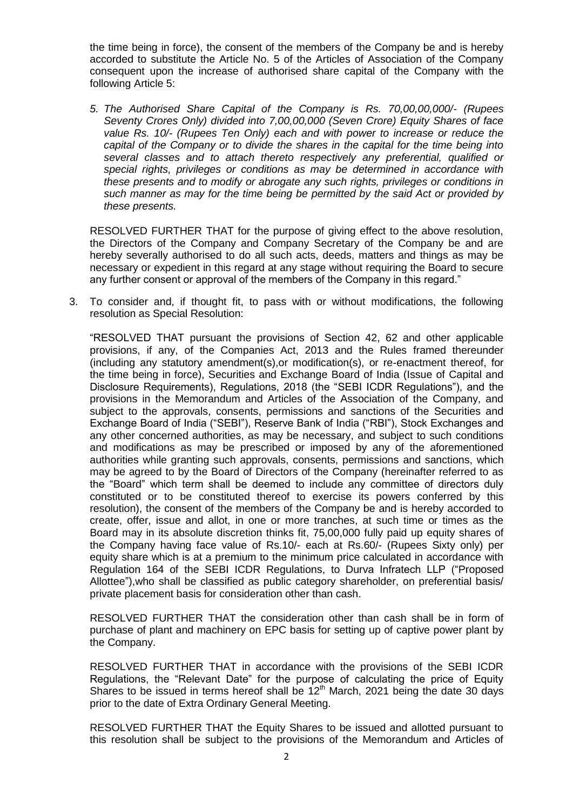the time being in force), the consent of the members of the Company be and is hereby accorded to substitute the Article No. 5 of the Articles of Association of the Company consequent upon the increase of authorised share capital of the Company with the following Article 5:

*5. The Authorised Share Capital of the Company is Rs. 70,00,00,000/- (Rupees Seventy Crores Only) divided into 7,00,00,000 (Seven Crore) Equity Shares of face value Rs. 10/- (Rupees Ten Only) each and with power to increase or reduce the capital of the Company or to divide the shares in the capital for the time being into several classes and to attach thereto respectively any preferential, qualified or special rights, privileges or conditions as may be determined in accordance with these presents and to modify or abrogate any such rights, privileges or conditions in such manner as may for the time being be permitted by the said Act or provided by these presents.*

RESOLVED FURTHER THAT for the purpose of giving effect to the above resolution, the Directors of the Company and Company Secretary of the Company be and are hereby severally authorised to do all such acts, deeds, matters and things as may be necessary or expedient in this regard at any stage without requiring the Board to secure any further consent or approval of the members of the Company in this regard."

3. To consider and, if thought fit, to pass with or without modifications, the following resolution as Special Resolution:

"RESOLVED THAT pursuant the provisions of Section 42, 62 and other applicable provisions, if any, of the Companies Act, 2013 and the Rules framed thereunder (including any statutory amendment(s),or modification(s), or re-enactment thereof, for the time being in force), Securities and Exchange Board of India (Issue of Capital and Disclosure Requirements), Regulations, 2018 (the "SEBI ICDR Regulations"), and the provisions in the Memorandum and Articles of the Association of the Company, and subject to the approvals, consents, permissions and sanctions of the Securities and Exchange Board of India ("SEBI"), Reserve Bank of India ("RBI"), Stock Exchanges and any other concerned authorities, as may be necessary, and subject to such conditions and modifications as may be prescribed or imposed by any of the aforementioned authorities while granting such approvals, consents, permissions and sanctions, which may be agreed to by the Board of Directors of the Company (hereinafter referred to as the "Board" which term shall be deemed to include any committee of directors duly constituted or to be constituted thereof to exercise its powers conferred by this resolution), the consent of the members of the Company be and is hereby accorded to create, offer, issue and allot, in one or more tranches, at such time or times as the Board may in its absolute discretion thinks fit, 75,00,000 fully paid up equity shares of the Company having face value of Rs.10/- each at Rs.60/- (Rupees Sixty only) per equity share which is at a premium to the minimum price calculated in accordance with Regulation 164 of the SEBI ICDR Regulations, to Durva Infratech LLP ("Proposed Allottee"),who shall be classified as public category shareholder, on preferential basis/ private placement basis for consideration other than cash.

RESOLVED FURTHER THAT the consideration other than cash shall be in form of purchase of plant and machinery on EPC basis for setting up of captive power plant by the Company.

RESOLVED FURTHER THAT in accordance with the provisions of the SEBI ICDR Regulations, the "Relevant Date" for the purpose of calculating the price of Equity Shares to be issued in terms hereof shall be  $12<sup>th</sup>$  March, 2021 being the date 30 days prior to the date of Extra Ordinary General Meeting.

RESOLVED FURTHER THAT the Equity Shares to be issued and allotted pursuant to this resolution shall be subject to the provisions of the Memorandum and Articles of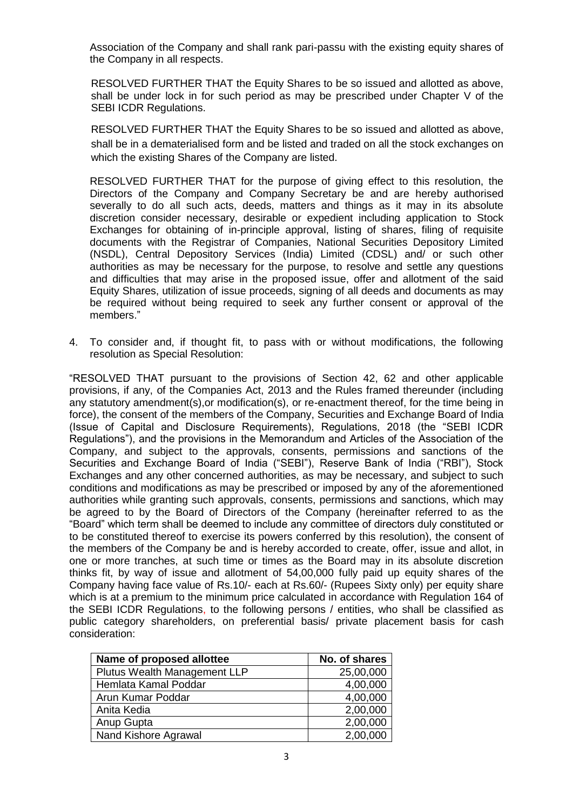Association of the Company and shall rank pari-passu with the existing equity shares of the Company in all respects.

RESOLVED FURTHER THAT the Equity Shares to be so issued and allotted as above, shall be under lock in for such period as may be prescribed under Chapter V of the SEBI ICDR Regulations.

RESOLVED FURTHER THAT the Equity Shares to be so issued and allotted as above, shall be in a dematerialised form and be listed and traded on all the stock exchanges on which the existing Shares of the Company are listed.

RESOLVED FURTHER THAT for the purpose of giving effect to this resolution, the Directors of the Company and Company Secretary be and are hereby authorised severally to do all such acts, deeds, matters and things as it may in its absolute discretion consider necessary, desirable or expedient including application to Stock Exchanges for obtaining of in-principle approval, listing of shares, filing of requisite documents with the Registrar of Companies, National Securities Depository Limited (NSDL), Central Depository Services (India) Limited (CDSL) and/ or such other authorities as may be necessary for the purpose, to resolve and settle any questions and difficulties that may arise in the proposed issue, offer and allotment of the said Equity Shares, utilization of issue proceeds, signing of all deeds and documents as may be required without being required to seek any further consent or approval of the members."

4. To consider and, if thought fit, to pass with or without modifications, the following resolution as Special Resolution:

"RESOLVED THAT pursuant to the provisions of Section 42, 62 and other applicable provisions, if any, of the Companies Act, 2013 and the Rules framed thereunder (including any statutory amendment(s),or modification(s), or re-enactment thereof, for the time being in force), the consent of the members of the Company, Securities and Exchange Board of India (Issue of Capital and Disclosure Requirements), Regulations, 2018 (the "SEBI ICDR Regulations"), and the provisions in the Memorandum and Articles of the Association of the Company, and subject to the approvals, consents, permissions and sanctions of the Securities and Exchange Board of India ("SEBI"), Reserve Bank of India ("RBI"), Stock Exchanges and any other concerned authorities, as may be necessary, and subject to such conditions and modifications as may be prescribed or imposed by any of the aforementioned authorities while granting such approvals, consents, permissions and sanctions, which may be agreed to by the Board of Directors of the Company (hereinafter referred to as the "Board" which term shall be deemed to include any committee of directors duly constituted or to be constituted thereof to exercise its powers conferred by this resolution), the consent of the members of the Company be and is hereby accorded to create, offer, issue and allot, in one or more tranches, at such time or times as the Board may in its absolute discretion thinks fit, by way of issue and allotment of 54,00,000 fully paid up equity shares of the Company having face value of Rs.10/- each at Rs.60/- (Rupees Sixty only) per equity share which is at a premium to the minimum price calculated in accordance with Regulation 164 of the SEBI ICDR Regulations, to the following persons / entities, who shall be classified as public category shareholders, on preferential basis/ private placement basis for cash consideration:

| Name of proposed allottee    | No. of shares |
|------------------------------|---------------|
| Plutus Wealth Management LLP | 25,00,000     |
| Hemlata Kamal Poddar         | 4,00,000      |
| Arun Kumar Poddar            | 4,00,000      |
| Anita Kedia                  | 2,00,000      |
| Anup Gupta                   | 2,00,000      |
| Nand Kishore Agrawal         | 2,00,000      |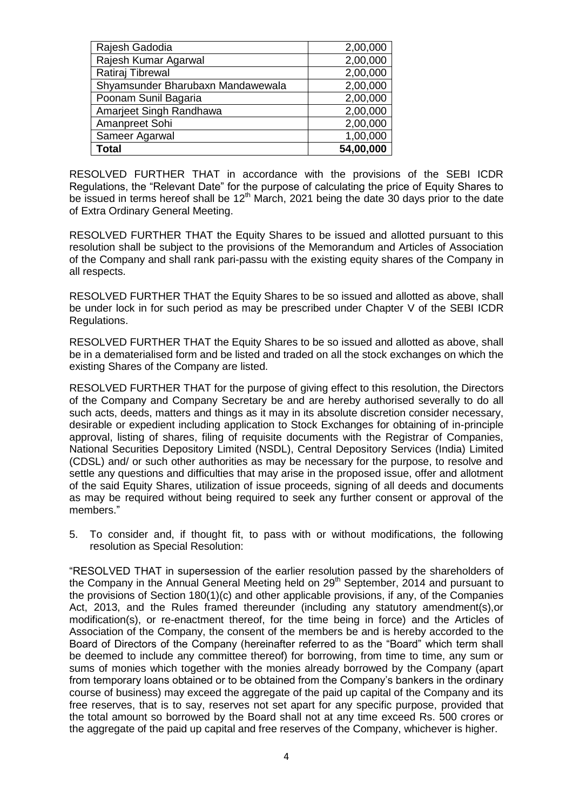| Rajesh Gadodia                    | 2,00,000  |
|-----------------------------------|-----------|
| Rajesh Kumar Agarwal              | 2,00,000  |
| Ratiraj Tibrewal                  | 2,00,000  |
| Shyamsunder Bharubaxn Mandawewala | 2,00,000  |
| Poonam Sunil Bagaria              | 2,00,000  |
| Amarjeet Singh Randhawa           | 2,00,000  |
| Amanpreet Sohi                    | 2,00,000  |
| Sameer Agarwal                    | 1,00,000  |
| <b>Total</b>                      | 54,00,000 |

RESOLVED FURTHER THAT in accordance with the provisions of the SEBI ICDR Regulations, the "Relevant Date" for the purpose of calculating the price of Equity Shares to be issued in terms hereof shall be  $12<sup>th</sup>$  March, 2021 being the date 30 days prior to the date of Extra Ordinary General Meeting.

RESOLVED FURTHER THAT the Equity Shares to be issued and allotted pursuant to this resolution shall be subject to the provisions of the Memorandum and Articles of Association of the Company and shall rank pari-passu with the existing equity shares of the Company in all respects.

RESOLVED FURTHER THAT the Equity Shares to be so issued and allotted as above, shall be under lock in for such period as may be prescribed under Chapter V of the SEBI ICDR Regulations.

RESOLVED FURTHER THAT the Equity Shares to be so issued and allotted as above, shall be in a dematerialised form and be listed and traded on all the stock exchanges on which the existing Shares of the Company are listed.

RESOLVED FURTHER THAT for the purpose of giving effect to this resolution, the Directors of the Company and Company Secretary be and are hereby authorised severally to do all such acts, deeds, matters and things as it may in its absolute discretion consider necessary, desirable or expedient including application to Stock Exchanges for obtaining of in-principle approval, listing of shares, filing of requisite documents with the Registrar of Companies, National Securities Depository Limited (NSDL), Central Depository Services (India) Limited (CDSL) and/ or such other authorities as may be necessary for the purpose, to resolve and settle any questions and difficulties that may arise in the proposed issue, offer and allotment of the said Equity Shares, utilization of issue proceeds, signing of all deeds and documents as may be required without being required to seek any further consent or approval of the members."

5. To consider and, if thought fit, to pass with or without modifications, the following resolution as Special Resolution:

"RESOLVED THAT in supersession of the earlier resolution passed by the shareholders of the Company in the Annual General Meeting held on 29<sup>th</sup> September, 2014 and pursuant to the provisions of Section 180(1)(c) and other applicable provisions, if any, of the Companies Act, 2013, and the Rules framed thereunder (including any statutory amendment(s),or modification(s), or re-enactment thereof, for the time being in force) and the Articles of Association of the Company, the consent of the members be and is hereby accorded to the Board of Directors of the Company (hereinafter referred to as the "Board" which term shall be deemed to include any committee thereof) for borrowing, from time to time, any sum or sums of monies which together with the monies already borrowed by the Company (apart from temporary loans obtained or to be obtained from the Company"s bankers in the ordinary course of business) may exceed the aggregate of the paid up capital of the Company and its free reserves, that is to say, reserves not set apart for any specific purpose, provided that the total amount so borrowed by the Board shall not at any time exceed Rs. 500 crores or the aggregate of the paid up capital and free reserves of the Company, whichever is higher.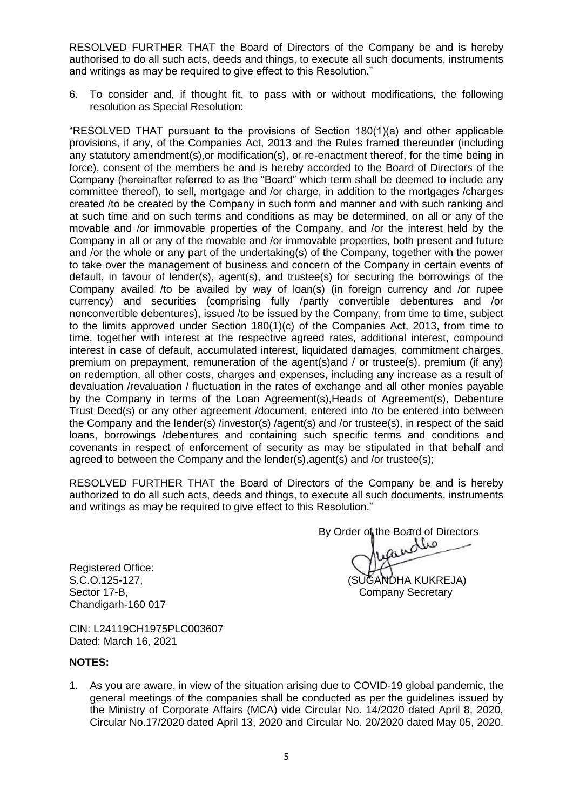RESOLVED FURTHER THAT the Board of Directors of the Company be and is hereby authorised to do all such acts, deeds and things, to execute all such documents, instruments and writings as may be required to give effect to this Resolution."

6. To consider and, if thought fit, to pass with or without modifications, the following resolution as Special Resolution:

"RESOLVED THAT pursuant to the provisions of Section 180(1)(a) and other applicable provisions, if any, of the Companies Act, 2013 and the Rules framed thereunder (including any statutory amendment(s),or modification(s), or re-enactment thereof, for the time being in force), consent of the members be and is hereby accorded to the Board of Directors of the Company (hereinafter referred to as the "Board" which term shall be deemed to include any committee thereof), to sell, mortgage and /or charge, in addition to the mortgages /charges created /to be created by the Company in such form and manner and with such ranking and at such time and on such terms and conditions as may be determined, on all or any of the movable and /or immovable properties of the Company, and /or the interest held by the Company in all or any of the movable and /or immovable properties, both present and future and /or the whole or any part of the undertaking(s) of the Company, together with the power to take over the management of business and concern of the Company in certain events of default, in favour of lender(s), agent(s), and trustee(s) for securing the borrowings of the Company availed /to be availed by way of loan(s) (in foreign currency and /or rupee currency) and securities (comprising fully /partly convertible debentures and /or nonconvertible debentures), issued /to be issued by the Company, from time to time, subject to the limits approved under Section 180(1)(c) of the Companies Act, 2013, from time to time, together with interest at the respective agreed rates, additional interest, compound interest in case of default, accumulated interest, liquidated damages, commitment charges, premium on prepayment, remuneration of the agent(s)and / or trustee(s), premium (if any) on redemption, all other costs, charges and expenses, including any increase as a result of devaluation /revaluation / fluctuation in the rates of exchange and all other monies payable by the Company in terms of the Loan Agreement(s),Heads of Agreement(s), Debenture Trust Deed(s) or any other agreement /document, entered into /to be entered into between the Company and the lender(s) /investor(s) /agent(s) and /or trustee(s), in respect of the said loans, borrowings /debentures and containing such specific terms and conditions and covenants in respect of enforcement of security as may be stipulated in that behalf and agreed to between the Company and the lender(s),agent(s) and /or trustee(s);

RESOLVED FURTHER THAT the Board of Directors of the Company be and is hereby authorized to do all such acts, deeds and things, to execute all such documents, instruments and writings as may be required to give effect to this Resolution."

Registered Office: Sector 17-B, Sector 17-B, Sector 17-B, Sector 17-B, Secretary Secretary Secretary Secretary Secretary Secretary Chandigarh-160 017

By Order of the Board of Directors

S.C.O.125-127, (SUGANDHA KUKREJA)

CIN: L24119CH1975PLC003607 Dated: March 16, 2021

# **NOTES:**

1. As you are aware, in view of the situation arising due to COVID-19 global pandemic, the general meetings of the companies shall be conducted as per the guidelines issued by the Ministry of Corporate Affairs (MCA) vide Circular No. 14/2020 dated April 8, 2020, Circular No.17/2020 dated April 13, 2020 and Circular No. 20/2020 dated May 05, 2020.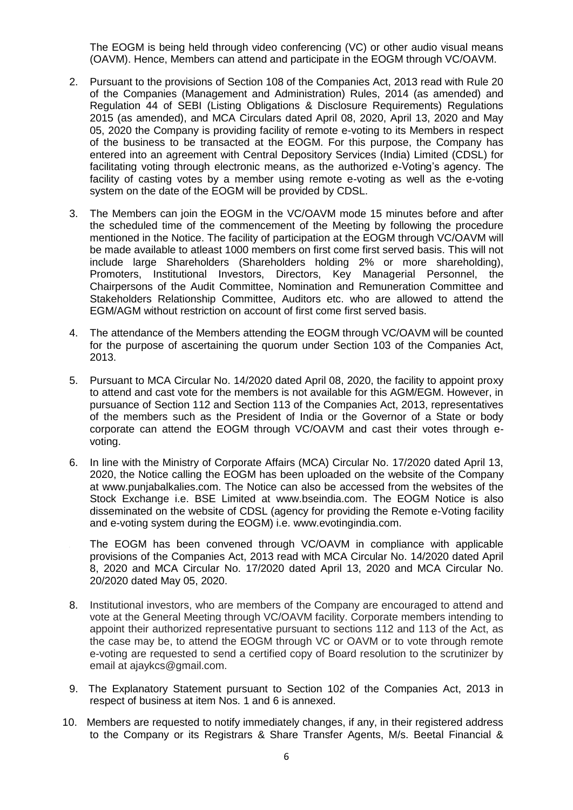The EOGM is being held through video conferencing (VC) or other audio visual means (OAVM). Hence, Members can attend and participate in the EOGM through VC/OAVM.

- 2. Pursuant to the provisions of Section 108 of the Companies Act, 2013 read with Rule 20 of the Companies (Management and Administration) Rules, 2014 (as amended) and Regulation 44 of SEBI (Listing Obligations & Disclosure Requirements) Regulations 2015 (as amended), and MCA Circulars dated April 08, 2020, April 13, 2020 and May 05, 2020 the Company is providing facility of remote e-voting to its Members in respect of the business to be transacted at the EOGM. For this purpose, the Company has entered into an agreement with Central Depository Services (India) Limited (CDSL) for facilitating voting through electronic means, as the authorized e-Voting's agency. The facility of casting votes by a member using remote e-voting as well as the e-voting system on the date of the EOGM will be provided by CDSL.
- 3. The Members can join the EOGM in the VC/OAVM mode 15 minutes before and after the scheduled time of the commencement of the Meeting by following the procedure mentioned in the Notice. The facility of participation at the EOGM through VC/OAVM will be made available to atleast 1000 members on first come first served basis. This will not include large Shareholders (Shareholders holding 2% or more shareholding), Promoters, Institutional Investors, Directors, Key Managerial Personnel, the Chairpersons of the Audit Committee, Nomination and Remuneration Committee and Stakeholders Relationship Committee, Auditors etc. who are allowed to attend the EGM/AGM without restriction on account of first come first served basis.
- 4. The attendance of the Members attending the EOGM through VC/OAVM will be counted for the purpose of ascertaining the quorum under Section 103 of the Companies Act, 2013.
- 5. Pursuant to MCA Circular No. 14/2020 dated April 08, 2020, the facility to appoint proxy to attend and cast vote for the members is not available for this AGM/EGM. However, in pursuance of Section 112 and Section 113 of the Companies Act, 2013, representatives of the members such as the President of India or the Governor of a State or body corporate can attend the EOGM through VC/OAVM and cast their votes through evoting.
- 6. In line with the Ministry of Corporate Affairs (MCA) Circular No. 17/2020 dated April 13, 2020, the Notice calling the EOGM has been uploaded on the website of the Company at www.punjabalkalies.com. The Notice can also be accessed from the websites of the Stock Exchange i.e. BSE Limited at www.bseindia.com. The EOGM Notice is also disseminated on the website of CDSL (agency for providing the Remote e-Voting facility and e-voting system during the EOGM) i.e. www.evotingindia.com.
- The EOGM has been convened through VC/OAVM in compliance with applicable provisions of the Companies Act, 2013 read with MCA Circular No. 14/2020 dated April 8, 2020 and MCA Circular No. 17/2020 dated April 13, 2020 and MCA Circular No. 20/2020 dated May 05, 2020.
- 8. Institutional investors, who are members of the Company are encouraged to attend and vote at the General Meeting through VC/OAVM facility. Corporate members intending to appoint their authorized representative pursuant to sections 112 and 113 of the Act, as the case may be, to attend the EOGM through VC or OAVM or to vote through remote e-voting are requested to send a certified copy of Board resolution to the scrutinizer by email at ajaykcs@gmail.com.
- 9. The Explanatory Statement pursuant to Section 102 of the Companies Act, 2013 in respect of business at item Nos. 1 and 6 is annexed.
- 10. Members are requested to notify immediately changes, if any, in their registered address to the Company or its Registrars & Share Transfer Agents, M/s. Beetal Financial &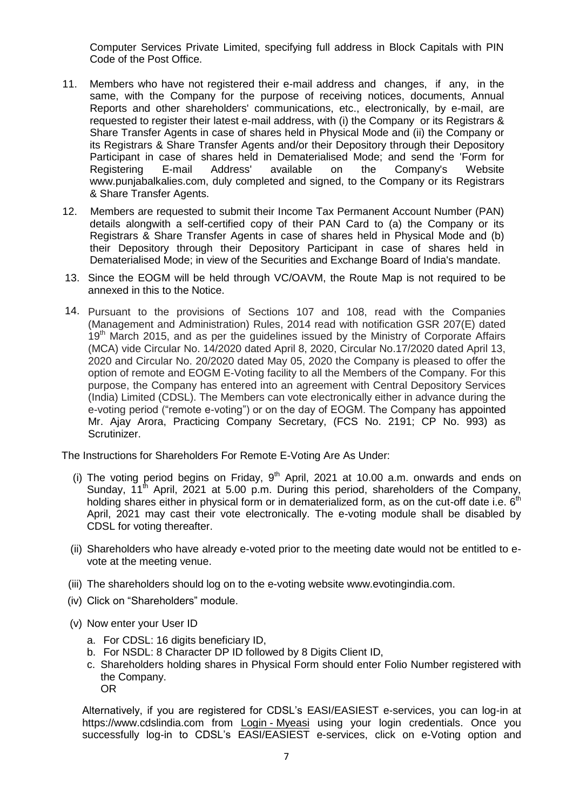Computer Services Private Limited, specifying full address in Block Capitals with PIN Code of the Post Office.

- 11. Members who have not registered their e-mail address and changes, if any, in the same, with the Company for the purpose of receiving notices, documents, Annual Reports and other shareholders' communications, etc., electronically, by e-mail, are requested to register their latest e-mail address, with (i) the Company or its Registrars & Share Transfer Agents in case of shares held in Physical Mode and (ii) the Company or its Registrars & Share Transfer Agents and/or their Depository through their Depository Participant in case of shares held in Dematerialised Mode; and send the 'Form for Registering E-mail Address' available on the Company's Website www.punjabalkalies.com, duly completed and signed, to the Company or its Registrars & Share Transfer Agents.
- 12. Members are requested to submit their Income Tax Permanent Account Number (PAN) details alongwith a self-certified copy of their PAN Card to (a) the Company or its Registrars & Share Transfer Agents in case of shares held in Physical Mode and (b) their Depository through their Depository Participant in case of shares held in Dematerialised Mode; in view of the Securities and Exchange Board of India's mandate.
- 13. Since the EOGM will be held through VC/OAVM, the Route Map is not required to be annexed in this to the Notice.
- 14. Pursuant to the provisions of Sections 107 and 108, read with the Companies (Management and Administration) Rules, 2014 read with notification GSR 207(E) dated 19<sup>th</sup> March 2015, and as per the guidelines issued by the Ministry of Corporate Affairs (MCA) vide Circular No. 14/2020 dated April 8, 2020, Circular No.17/2020 dated April 13, 2020 and Circular No. 20/2020 dated May 05, 2020 the Company is pleased to offer the option of remote and EOGM E-Voting facility to all the Members of the Company. For this purpose, the Company has entered into an agreement with Central Depository Services (India) Limited (CDSL). The Members can vote electronically either in advance during the e-voting period ("remote e-voting") or on the day of EOGM. The Company has appointed Mr. Ajay Arora, Practicing Company Secretary, (FCS No. 2191; CP No. 993) as Scrutinizer.

The Instructions for Shareholders For Remote E-Voting Are As Under:

- (i) The voting period begins on Friday,  $9<sup>th</sup>$  April, 2021 at 10.00 a.m. onwards and ends on Sunday,  $11<sup>th</sup>$  April, 2021 at 5.00 p.m. During this period, shareholders of the Company, holding shares either in physical form or in dematerialized form, as on the cut-off date i.e.  $6<sup>th</sup>$ April, 2021 may cast their vote electronically. The e-voting module shall be disabled by CDSL for voting thereafter.
- (ii) Shareholders who have already e-voted prior to the meeting date would not be entitled to evote at the meeting venue.
- (iii) The shareholders should log on to the e-voting website www.evotingindia.com.
- (iv) Click on "Shareholders" module.
- (v) Now enter your User ID
	- a. For CDSL: 16 digits beneficiary ID,
	- b. For NSDL: 8 Character DP ID followed by 8 Digits Client ID,
	- c. Shareholders holding shares in Physical Form should enter Folio Number registered with the Company. OR

Alternatively, if you are registered for CDSL"s EASI/EASIEST e-services, you can log-in at https://www.cdslindia.com from Login - [Myeasi](file:///C:/Users/Sugandha/Desktop/EOGM/Login - Myeasi) using your login credentials. Once you successfully log-in to CDSL's EASI/EASIEST e-services, click on e-Voting option and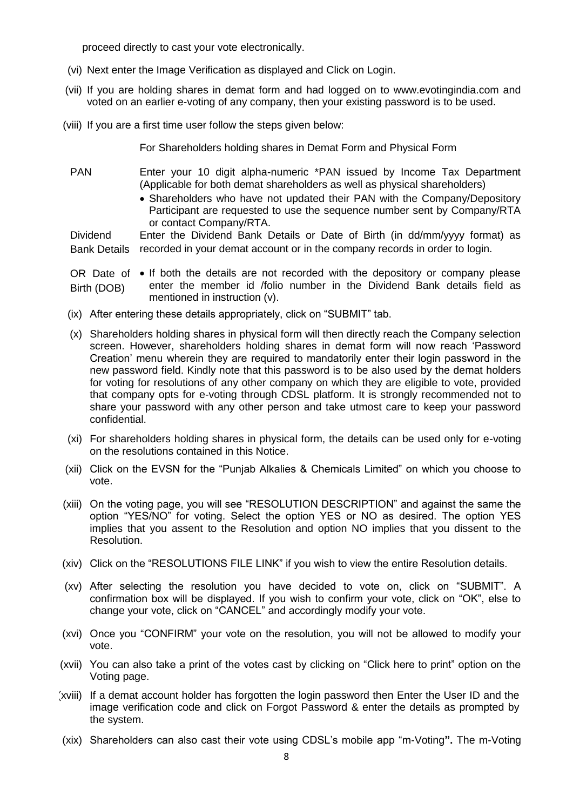proceed directly to cast your vote electronically.

- (vi) Next enter the Image Verification as displayed and Click on Login.
- (vii) If you are holding shares in demat form and had logged on to www.evotingindia.com and voted on an earlier e-voting of any company, then your existing password is to be used.
- (viii) If you are a first time user follow the steps given below:

For Shareholders holding shares in Demat Form and Physical Form

- PAN Enter your 10 digit alpha-numeric \*PAN issued by Income Tax Department (Applicable for both demat shareholders as well as physical shareholders)
	- Shareholders who have not updated their PAN with the Company/Depository Participant are requested to use the sequence number sent by Company/RTA or contact Company/RTA.

Dividend Bank Details recorded in your demat account or in the company records in order to login. Enter the Dividend Bank Details or Date of Birth (in dd/mm/yyyy format) as

OR Date of  $\bullet$  If both the details are not recorded with the depository or company please Birth (DOB) enter the member id /folio number in the Dividend Bank details field as mentioned in instruction (v).

- (ix) After entering these details appropriately, click on "SUBMIT" tab.
- (x) Shareholders holding shares in physical form will then directly reach the Company selection screen. However, shareholders holding shares in demat form will now reach "Password Creation" menu wherein they are required to mandatorily enter their login password in the new password field. Kindly note that this password is to be also used by the demat holders for voting for resolutions of any other company on which they are eligible to vote, provided that company opts for e-voting through CDSL platform. It is strongly recommended not to share your password with any other person and take utmost care to keep your password confidential.
- (xi) For shareholders holding shares in physical form, the details can be used only for e-voting on the resolutions contained in this Notice.
- (xii) Click on the EVSN for the "Punjab Alkalies & Chemicals Limited" on which you choose to vote.
- (xiii) On the voting page, you will see "RESOLUTION DESCRIPTION" and against the same the option "YES/NO" for voting. Select the option YES or NO as desired. The option YES implies that you assent to the Resolution and option NO implies that you dissent to the Resolution.
- (xiv) Click on the "RESOLUTIONS FILE LINK" if you wish to view the entire Resolution details.
- (xv) After selecting the resolution you have decided to vote on, click on "SUBMIT". A confirmation box will be displayed. If you wish to confirm your vote, click on "OK", else to change your vote, click on "CANCEL" and accordingly modify your vote.
- (xvi) Once you "CONFIRM" your vote on the resolution, you will not be allowed to modify your vote.
- (xvii) You can also take a print of the votes cast by clicking on "Click here to print" option on the Voting page.
- (xviii) If a demat account holder has forgotten the login password then Enter the User ID and the image verification code and click on Forgot Password & enter the details as prompted by the system.
- (xix) Shareholders can also cast their vote using CDSL"s mobile app "m-Voting**".** The m-Voting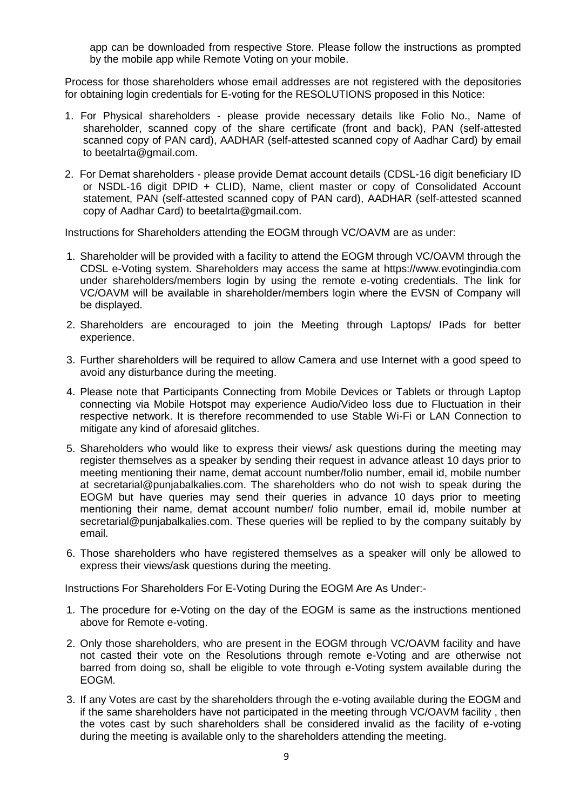app can be downloaded from respective Store. Please follow the instructions as prompted by the mobile app while Remote Voting on your mobile.

Process for those shareholders whose email addresses are not registered with the depositories for obtaining login credentials for E-voting for the RESOLUTIONS proposed in this Notice:

- 1. For Physical shareholders please provide necessary details like Folio No., Name of shareholder, scanned copy of the share certificate (front and back), PAN (self-attested scanned copy of PAN card), AADHAR (self-attested scanned copy of Aadhar Card) by email to beetalrta@gmail.com.
- 2. For Demat shareholders please provide Demat account details (CDSL-16 digit beneficiary ID or NSDL-16 digit DPID + CLID), Name, client master or copy of Consolidated Account statement, PAN (self-attested scanned copy of PAN card), AADHAR (self-attested scanned copy of Aadhar Card) to beetalrta@gmail.com.

Instructions for Shareholders attending the EOGM through VC/OAVM are as under:

- 1. Shareholder will be provided with a facility to attend the EOGM through VC/OAVM through the CDSL e-Voting system. Shareholders may access the same at https://www.evotingindia.com under shareholders/members login by using the remote e-voting credentials. The link for VC/OAVM will be available in shareholder/members login where the EVSN of Company will be displayed.
- 2. Shareholders are encouraged to join the Meeting through Laptops/ IPads for better experience.
- 3. Further shareholders will be required to allow Camera and use Internet with a good speed to avoid any disturbance during the meeting.
- 4. Please note that Participants Connecting from Mobile Devices or Tablets or through Laptop connecting via Mobile Hotspot may experience Audio/Video loss due to Fluctuation in their respective network. It is therefore recommended to use Stable Wi-Fi or LAN Connection to mitigate any kind of aforesaid glitches.
- 5. Shareholders who would like to express their views/ ask questions during the meeting may register themselves as a speaker by sending their request in advance atleast 10 days prior to meeting mentioning their name, demat account number/folio number, email id, mobile number at secretarial@punjabalkalies.com. The shareholders who do not wish to speak during the EOGM but have queries may send their queries in advance 10 days prior to meeting mentioning their name, demat account number/ folio number, email id, mobile number at secretarial@punjabalkalies.com. These queries will be replied to by the company suitably by email.
- 6. Those shareholders who have registered themselves as a speaker will only be allowed to express their views/ask questions during the meeting.

Instructions For Shareholders For E-Voting During the EOGM Are As Under:-

- 1. The procedure for e-Voting on the day of the EOGM is same as the instructions mentioned above for Remote e-voting.
- 2. Only those shareholders, who are present in the EOGM through VC/OAVM facility and have not casted their vote on the Resolutions through remote e-Voting and are otherwise not barred from doing so, shall be eligible to vote through e-Voting system available during the EOGM.
- 3. If any Votes are cast by the shareholders through the e-voting available during the EOGM and if the same shareholders have not participated in the meeting through VC/OAVM facility , then the votes cast by such shareholders shall be considered invalid as the facility of e-voting during the meeting is available only to the shareholders attending the meeting.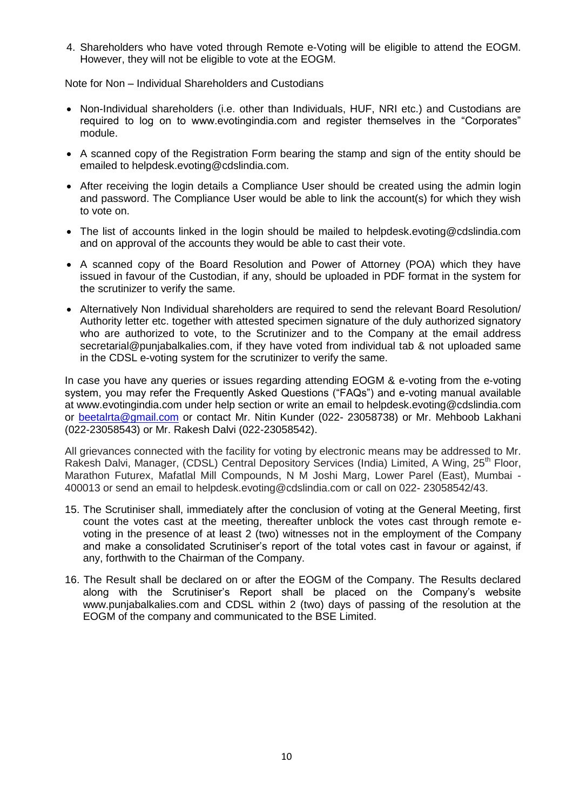4. Shareholders who have voted through Remote e-Voting will be eligible to attend the EOGM. However, they will not be eligible to vote at the EOGM.

Note for Non – Individual Shareholders and Custodians

- Non-Individual shareholders (i.e. other than Individuals, HUF, NRI etc.) and Custodians are required to log on to www.evotingindia.com and register themselves in the "Corporates" module.
- A scanned copy of the Registration Form bearing the stamp and sign of the entity should be emailed to helpdesk.evoting@cdslindia.com.
- After receiving the login details a Compliance User should be created using the admin login and password. The Compliance User would be able to link the account(s) for which they wish to vote on.
- The list of accounts linked in the login should be mailed to helpdesk.evoting@cdslindia.com and on approval of the accounts they would be able to cast their vote.
- A scanned copy of the Board Resolution and Power of Attorney (POA) which they have issued in favour of the Custodian, if any, should be uploaded in PDF format in the system for the scrutinizer to verify the same.
- Alternatively Non Individual shareholders are required to send the relevant Board Resolution/ Authority letter etc. together with attested specimen signature of the duly authorized signatory who are authorized to vote, to the Scrutinizer and to the Company at the email address secretarial@punjabalkalies.com, if they have voted from individual tab & not uploaded same in the CDSL e-voting system for the scrutinizer to verify the same.

In case you have any queries or issues regarding attending EOGM & e-voting from the e-voting system, you may refer the Frequently Asked Questions ("FAQs") and e-voting manual available at www.evotingindia.com under help section or write an email to helpdesk.evoting@cdslindia.com or [beetalrta@gmail.com](mailto:beetalrta@gmail.com) or contact Mr. Nitin Kunder (022- 23058738) or Mr. Mehboob Lakhani (022-23058543) or Mr. Rakesh Dalvi (022-23058542).

All grievances connected with the facility for voting by electronic means may be addressed to Mr. Rakesh Dalvi, Manager, (CDSL) Central Depository Services (India) Limited, A Wing, 25<sup>th</sup> Floor, Marathon Futurex, Mafatlal Mill Compounds, N M Joshi Marg, Lower Parel (East), Mumbai - 400013 or send an email to helpdesk.evoting@cdslindia.com or call on 022- 23058542/43.

- 15. The Scrutiniser shall, immediately after the conclusion of voting at the General Meeting, first count the votes cast at the meeting, thereafter unblock the votes cast through remote evoting in the presence of at least 2 (two) witnesses not in the employment of the Company and make a consolidated Scrutiniser's report of the total votes cast in favour or against, if any, forthwith to the Chairman of the Company.
- 16. The Result shall be declared on or after the EOGM of the Company. The Results declared along with the Scrutiniser"s Report shall be placed on the Company"s website www.punjabalkalies.com and CDSL within 2 (two) days of passing of the resolution at the EOGM of the company and communicated to the BSE Limited.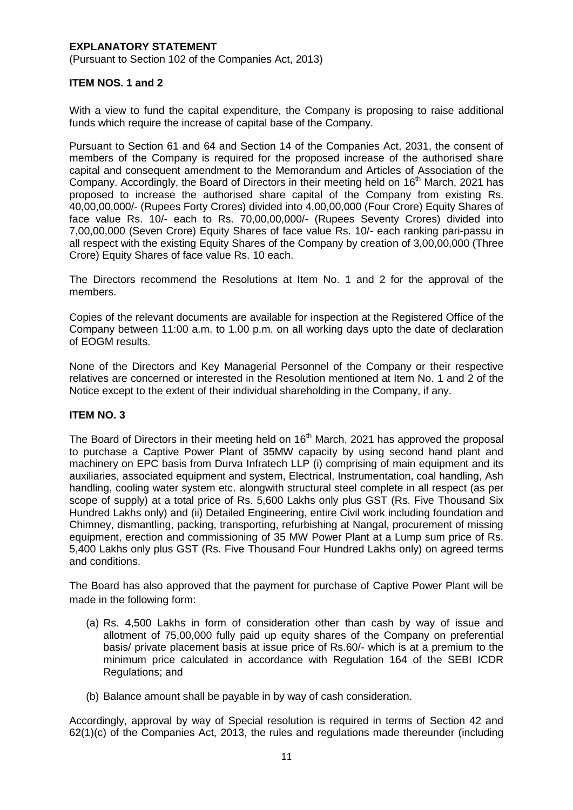# **EXPLANATORY STATEMENT**

(Pursuant to Section 102 of the Companies Act, 2013)

## **ITEM NOS. 1 and 2**

With a view to fund the capital expenditure, the Company is proposing to raise additional funds which require the increase of capital base of the Company.

Pursuant to Section 61 and 64 and Section 14 of the Companies Act, 2031, the consent of members of the Company is required for the proposed increase of the authorised share capital and consequent amendment to the Memorandum and Articles of Association of the Company. Accordingly, the Board of Directors in their meeting held on 16<sup>th</sup> March, 2021 has proposed to increase the authorised share capital of the Company from existing Rs. 40,00,00,000/- (Rupees Forty Crores) divided into 4,00,00,000 (Four Crore) Equity Shares of face value Rs. 10/- each to Rs. 70,00,00,000/- (Rupees Seventy Crores) divided into 7,00,00,000 (Seven Crore) Equity Shares of face value Rs. 10/- each ranking pari-passu in all respect with the existing Equity Shares of the Company by creation of 3,00,00,000 (Three Crore) Equity Shares of face value Rs. 10 each.

The Directors recommend the Resolutions at Item No. 1 and 2 for the approval of the members.

Copies of the relevant documents are available for inspection at the Registered Office of the Company between 11:00 a.m. to 1.00 p.m. on all working days upto the date of declaration of EOGM results.

None of the Directors and Key Managerial Personnel of the Company or their respective relatives are concerned or interested in the Resolution mentioned at Item No. 1 and 2 of the Notice except to the extent of their individual shareholding in the Company, if any.

# **ITEM NO. 3**

The Board of Directors in their meeting held on 16<sup>th</sup> March, 2021 has approved the proposal to purchase a Captive Power Plant of 35MW capacity by using second hand plant and machinery on EPC basis from Durva Infratech LLP (i) comprising of main equipment and its auxiliaries, associated equipment and system, Electrical, Instrumentation, coal handling, Ash handling, cooling water system etc. alongwith structural steel complete in all respect (as per scope of supply) at a total price of Rs. 5,600 Lakhs only plus GST (Rs. Five Thousand Six Hundred Lakhs only) and (ii) Detailed Engineering, entire Civil work including foundation and Chimney, dismantling, packing, transporting, refurbishing at Nangal, procurement of missing equipment, erection and commissioning of 35 MW Power Plant at a Lump sum price of Rs. 5,400 Lakhs only plus GST (Rs. Five Thousand Four Hundred Lakhs only) on agreed terms and conditions.

The Board has also approved that the payment for purchase of Captive Power Plant will be made in the following form:

- (a) Rs. 4,500 Lakhs in form of consideration other than cash by way of issue and allotment of 75,00,000 fully paid up equity shares of the Company on preferential basis/ private placement basis at issue price of Rs.60/- which is at a premium to the minimum price calculated in accordance with Regulation 164 of the SEBI ICDR Regulations; and
- (b) Balance amount shall be payable in by way of cash consideration.

Accordingly, approval by way of Special resolution is required in terms of Section 42 and 62(1)(c) of the Companies Act, 2013, the rules and regulations made thereunder (including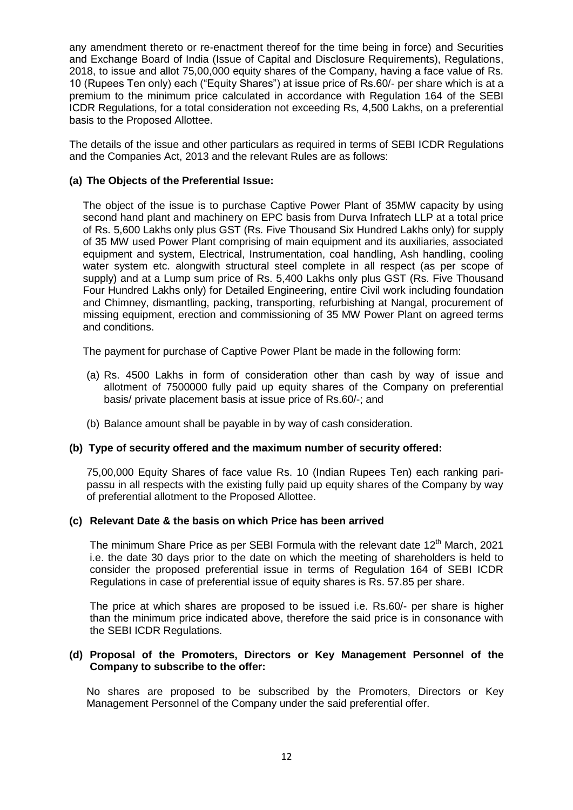any amendment thereto or re-enactment thereof for the time being in force) and Securities and Exchange Board of India (Issue of Capital and Disclosure Requirements), Regulations, 2018, to issue and allot 75,00,000 equity shares of the Company, having a face value of Rs. 10 (Rupees Ten only) each ("Equity Shares") at issue price of Rs.60/- per share which is at a premium to the minimum price calculated in accordance with Regulation 164 of the SEBI ICDR Regulations, for a total consideration not exceeding Rs, 4,500 Lakhs, on a preferential basis to the Proposed Allottee.

The details of the issue and other particulars as required in terms of SEBI ICDR Regulations and the Companies Act, 2013 and the relevant Rules are as follows:

# **(a) The Objects of the Preferential Issue:**

The object of the issue is to purchase Captive Power Plant of 35MW capacity by using second hand plant and machinery on EPC basis from Durva Infratech LLP at a total price of Rs. 5,600 Lakhs only plus GST (Rs. Five Thousand Six Hundred Lakhs only) for supply of 35 MW used Power Plant comprising of main equipment and its auxiliaries, associated equipment and system, Electrical, Instrumentation, coal handling, Ash handling, cooling water system etc. alongwith structural steel complete in all respect (as per scope of supply) and at a Lump sum price of Rs. 5,400 Lakhs only plus GST (Rs. Five Thousand Four Hundred Lakhs only) for Detailed Engineering, entire Civil work including foundation and Chimney, dismantling, packing, transporting, refurbishing at Nangal, procurement of missing equipment, erection and commissioning of 35 MW Power Plant on agreed terms and conditions.

The payment for purchase of Captive Power Plant be made in the following form:

- (a) Rs. 4500 Lakhs in form of consideration other than cash by way of issue and allotment of 7500000 fully paid up equity shares of the Company on preferential basis/ private placement basis at issue price of Rs.60/-; and
- (b) Balance amount shall be payable in by way of cash consideration.

# **(b) Type of security offered and the maximum number of security offered:**

75,00,000 Equity Shares of face value Rs. 10 (Indian Rupees Ten) each ranking paripassu in all respects with the existing fully paid up equity shares of the Company by way of preferential allotment to the Proposed Allottee.

#### **(c) Relevant Date & the basis on which Price has been arrived**

The minimum Share Price as per SEBI Formula with the relevant date 12<sup>th</sup> March. 2021 i.e. the date 30 days prior to the date on which the meeting of shareholders is held to consider the proposed preferential issue in terms of Regulation 164 of SEBI ICDR Regulations in case of preferential issue of equity shares is Rs. 57.85 per share.

The price at which shares are proposed to be issued i.e. Rs.60/- per share is higher than the minimum price indicated above, therefore the said price is in consonance with the SEBI ICDR Regulations.

#### **(d) Proposal of the Promoters, Directors or Key Management Personnel of the Company to subscribe to the offer:**

No shares are proposed to be subscribed by the Promoters, Directors or Key Management Personnel of the Company under the said preferential offer.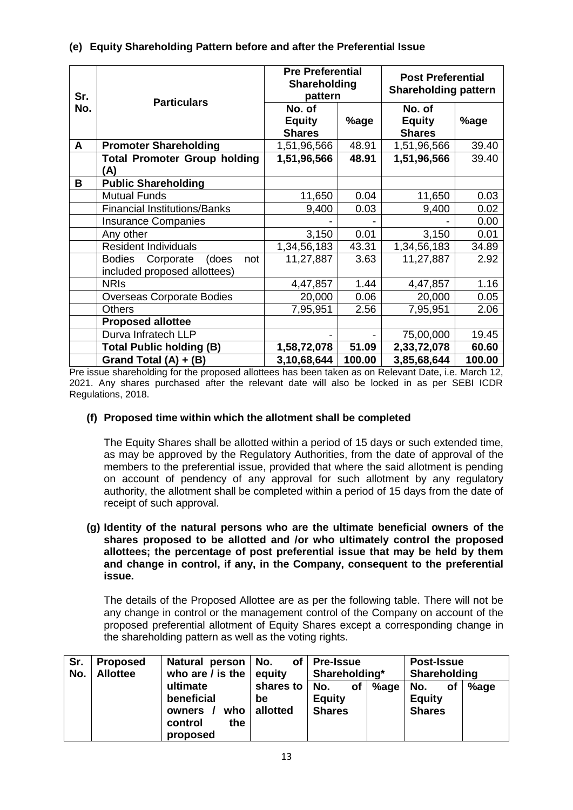| Sr. | <b>Particulars</b>                                                         | <b>Pre Preferential</b><br>Shareholding<br>pattern |        | <b>Post Preferential</b><br><b>Shareholding pattern</b> |        |  |
|-----|----------------------------------------------------------------------------|----------------------------------------------------|--------|---------------------------------------------------------|--------|--|
| No. |                                                                            | No. of<br><b>Equity</b><br><b>Shares</b>           | %age   | No. of<br><b>Equity</b><br><b>Shares</b>                | %age   |  |
| A   | <b>Promoter Shareholding</b>                                               | 1,51,96,566                                        | 48.91  | 1,51,96,566                                             | 39.40  |  |
|     | <b>Total Promoter Group holding</b><br>(A)                                 | 1,51,96,566                                        | 48.91  | 1,51,96,566                                             | 39.40  |  |
| В   | <b>Public Shareholding</b>                                                 |                                                    |        |                                                         |        |  |
|     | <b>Mutual Funds</b>                                                        | 11,650                                             | 0.04   | 11,650                                                  | 0.03   |  |
|     | <b>Financial Institutions/Banks</b>                                        | 9,400                                              | 0.03   | 9,400                                                   | 0.02   |  |
|     | <b>Insurance Companies</b>                                                 |                                                    |        |                                                         | 0.00   |  |
|     | Any other                                                                  | 3,150                                              | 0.01   | 3,150                                                   | 0.01   |  |
|     | <b>Resident Individuals</b>                                                | 1,34,56,183                                        | 43.31  | 1,34,56,183                                             | 34.89  |  |
|     | <b>Bodies</b><br>Corporate<br>(does<br>not<br>included proposed allottees) | 11,27,887                                          | 3.63   | 11,27,887                                               | 2.92   |  |
|     | <b>NRIS</b>                                                                | 4,47,857                                           | 1.44   | 4,47,857                                                | 1.16   |  |
|     | <b>Overseas Corporate Bodies</b>                                           | 20,000                                             | 0.06   | 20,000                                                  | 0.05   |  |
|     | <b>Others</b>                                                              | 7,95,951                                           | 2.56   | 7,95,951                                                | 2.06   |  |
|     | <b>Proposed allottee</b>                                                   |                                                    |        |                                                         |        |  |
|     | Durva Infratech LLP                                                        |                                                    |        | 75,00,000                                               | 19.45  |  |
|     | <b>Total Public holding (B)</b>                                            | 1,58,72,078                                        | 51.09  | 2,33,72,078                                             | 60.60  |  |
|     | Grand Total $(A) + (B)$                                                    | 3,10,68,644                                        | 100.00 | 3,85,68,644                                             | 100.00 |  |

Pre issue shareholding for the proposed allottees has been taken as on Relevant Date, i.e. March 12, 2021. Any shares purchased after the relevant date will also be locked in as per SEBI ICDR Regulations, 2018.

# **(f) Proposed time within which the allotment shall be completed**

The Equity Shares shall be allotted within a period of 15 days or such extended time, as may be approved by the Regulatory Authorities, from the date of approval of the members to the preferential issue, provided that where the said allotment is pending on account of pendency of any approval for such allotment by any regulatory authority, the allotment shall be completed within a period of 15 days from the date of receipt of such approval.

## **(g) Identity of the natural persons who are the ultimate beneficial owners of the shares proposed to be allotted and /or who ultimately control the proposed allottees; the percentage of post preferential issue that may be held by them and change in control, if any, in the Company, consequent to the preferential issue.**

The details of the Proposed Allottee are as per the following table. There will not be any change in control or the management control of the Company on account of the proposed preferential allotment of Equity Shares except a corresponding change in the shareholding pattern as well as the voting rights.

| Sr.<br>No. | <b>Proposed</b><br><b>Allottee</b> | Natural person   No.<br>who are / is the $ $ equity                   | <b>Post-Issue</b><br>of $ $ Pre-Issue<br>Shareholding*<br>Shareholding |                                             |      |                                             |      |
|------------|------------------------------------|-----------------------------------------------------------------------|------------------------------------------------------------------------|---------------------------------------------|------|---------------------------------------------|------|
|            |                                    | ultimate<br>beneficial<br>who<br>owners<br>the<br>control<br>proposed | shares to<br>be<br>allotted                                            | No.<br>οf<br><b>Equity</b><br><b>Shares</b> | %age | No.<br>οf<br><b>Equity</b><br><b>Shares</b> | %age |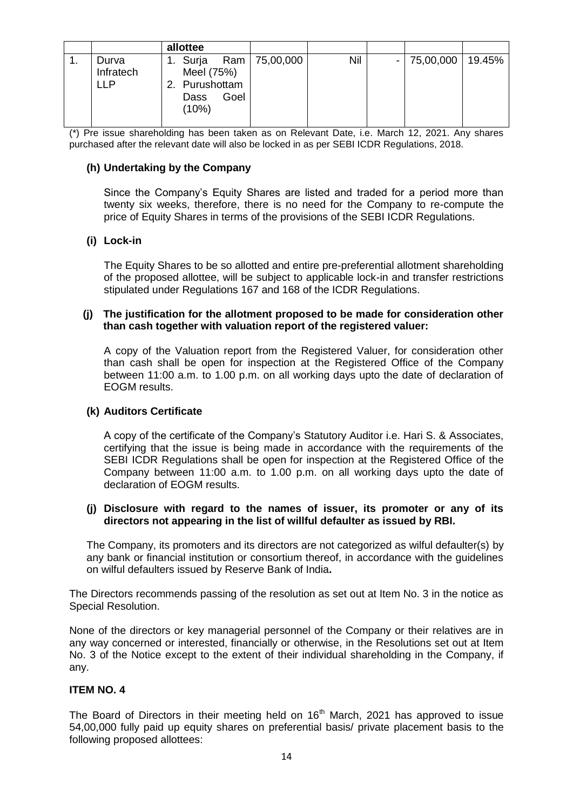|           | allottee       |                 |     |           |        |
|-----------|----------------|-----------------|-----|-----------|--------|
| Durva     | 1. Surja       | Ram   75,00,000 | Nil | 75,00,000 | 19.45% |
| Infratech | Meel (75%)     |                 |     |           |        |
| ∟LP       | 2. Purushottam |                 |     |           |        |
|           | Goel<br>Dass   |                 |     |           |        |
|           | (10%)          |                 |     |           |        |
|           |                |                 |     |           |        |

(\*) Pre issue shareholding has been taken as on Relevant Date, i.e. March 12, 2021. Any shares purchased after the relevant date will also be locked in as per SEBI ICDR Regulations, 2018.

# **(h) Undertaking by the Company**

Since the Company"s Equity Shares are listed and traded for a period more than twenty six weeks, therefore, there is no need for the Company to re-compute the price of Equity Shares in terms of the provisions of the SEBI ICDR Regulations.

### **(i) Lock-in**

The Equity Shares to be so allotted and entire pre-preferential allotment shareholding of the proposed allottee, will be subject to applicable lock-in and transfer restrictions stipulated under Regulations 167 and 168 of the ICDR Regulations.

## **(j) The justification for the allotment proposed to be made for consideration other than cash together with valuation report of the registered valuer:**

A copy of the Valuation report from the Registered Valuer, for consideration other than cash shall be open for inspection at the Registered Office of the Company between 11:00 a.m. to 1.00 p.m. on all working days upto the date of declaration of EOGM results.

#### **(k) Auditors Certificate**

A copy of the certificate of the Company"s Statutory Auditor i.e. Hari S. & Associates, certifying that the issue is being made in accordance with the requirements of the SEBI ICDR Regulations shall be open for inspection at the Registered Office of the Company between 11:00 a.m. to 1.00 p.m. on all working days upto the date of declaration of EOGM results.

### **(j) Disclosure with regard to the names of issuer, its promoter or any of its directors not appearing in the list of willful defaulter as issued by RBI.**

The Company, its promoters and its directors are not categorized as wilful defaulter(s) by any bank or financial institution or consortium thereof, in accordance with the guidelines on wilful defaulters issued by Reserve Bank of India**.**

The Directors recommends passing of the resolution as set out at Item No. 3 in the notice as Special Resolution.

None of the directors or key managerial personnel of the Company or their relatives are in any way concerned or interested, financially or otherwise, in the Resolutions set out at Item No. 3 of the Notice except to the extent of their individual shareholding in the Company, if any.

## **ITEM NO. 4**

The Board of Directors in their meeting held on 16<sup>th</sup> March, 2021 has approved to issue 54,00,000 fully paid up equity shares on preferential basis/ private placement basis to the following proposed allottees: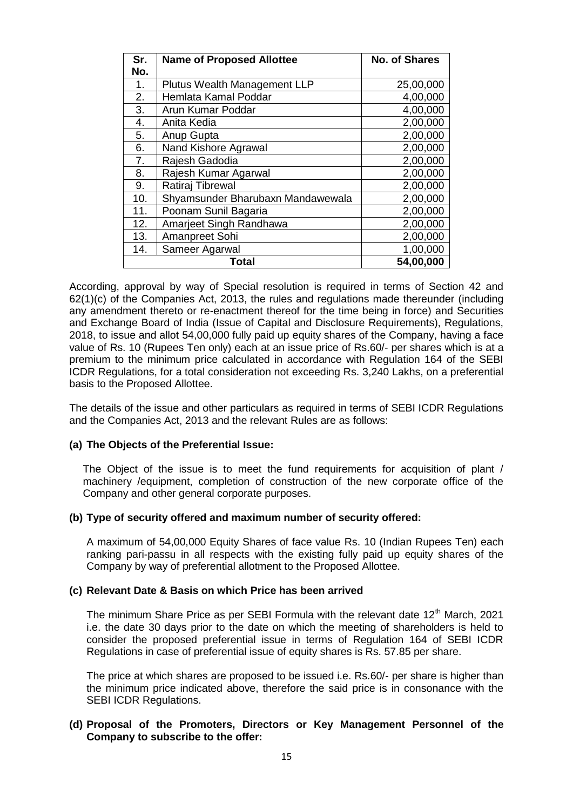| Sr. | <b>Name of Proposed Allottee</b>  | <b>No. of Shares</b> |
|-----|-----------------------------------|----------------------|
| No. |                                   |                      |
| 1.  | Plutus Wealth Management LLP      | 25,00,000            |
| 2.  | Hemlata Kamal Poddar              | 4,00,000             |
| 3.  | Arun Kumar Poddar                 | 4,00,000             |
| 4.  | Anita Kedia                       | 2,00,000             |
| 5.  | Anup Gupta                        | 2,00,000             |
| 6.  | Nand Kishore Agrawal              | 2,00,000             |
| 7.  | Rajesh Gadodia                    | 2,00,000             |
| 8.  | Rajesh Kumar Agarwal              | 2,00,000             |
| 9.  | Ratiraj Tibrewal                  | 2,00,000             |
| 10. | Shyamsunder Bharubaxn Mandawewala | 2,00,000             |
| 11. | Poonam Sunil Bagaria              | 2,00,000             |
| 12. | Amarjeet Singh Randhawa           | 2,00,000             |
| 13. | Amanpreet Sohi                    | 2,00,000             |
| 14. | Sameer Agarwal                    | 1,00,000             |
|     | Total                             | 54,00,000            |

According, approval by way of Special resolution is required in terms of Section 42 and 62(1)(c) of the Companies Act, 2013, the rules and regulations made thereunder (including any amendment thereto or re-enactment thereof for the time being in force) and Securities and Exchange Board of India (Issue of Capital and Disclosure Requirements), Regulations, 2018, to issue and allot 54,00,000 fully paid up equity shares of the Company, having a face value of Rs. 10 (Rupees Ten only) each at an issue price of Rs.60/- per shares which is at a premium to the minimum price calculated in accordance with Regulation 164 of the SEBI ICDR Regulations, for a total consideration not exceeding Rs. 3,240 Lakhs, on a preferential basis to the Proposed Allottee.

The details of the issue and other particulars as required in terms of SEBI ICDR Regulations and the Companies Act, 2013 and the relevant Rules are as follows:

#### **(a) The Objects of the Preferential Issue:**

The Object of the issue is to meet the fund requirements for acquisition of plant / machinery /equipment, completion of construction of the new corporate office of the Company and other general corporate purposes.

#### **(b) Type of security offered and maximum number of security offered:**

A maximum of 54,00,000 Equity Shares of face value Rs. 10 (Indian Rupees Ten) each ranking pari-passu in all respects with the existing fully paid up equity shares of the Company by way of preferential allotment to the Proposed Allottee.

#### **(c) Relevant Date & Basis on which Price has been arrived**

The minimum Share Price as per SEBI Formula with the relevant date  $12<sup>th</sup>$  March, 2021 i.e. the date 30 days prior to the date on which the meeting of shareholders is held to consider the proposed preferential issue in terms of Regulation 164 of SEBI ICDR Regulations in case of preferential issue of equity shares is Rs. 57.85 per share.

The price at which shares are proposed to be issued i.e. Rs.60/- per share is higher than the minimum price indicated above, therefore the said price is in consonance with the SEBI ICDR Regulations.

### **(d) Proposal of the Promoters, Directors or Key Management Personnel of the Company to subscribe to the offer:**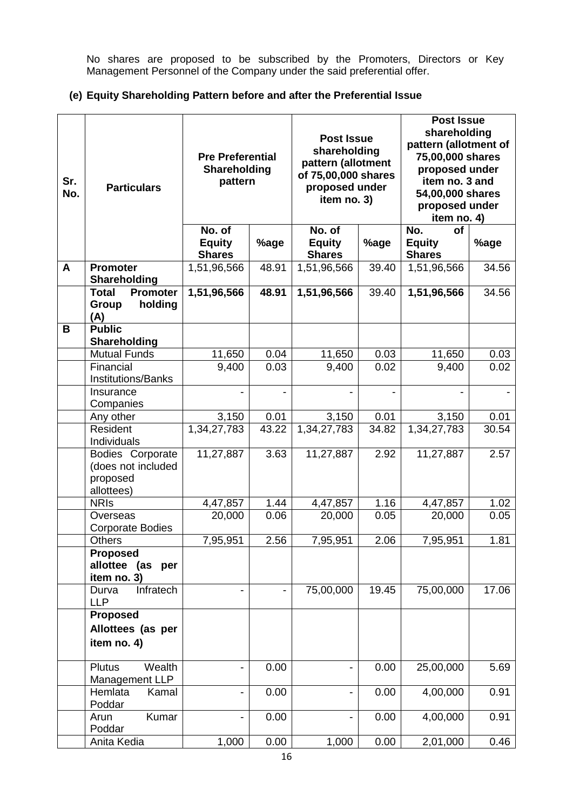No shares are proposed to be subscribed by the Promoters, Directors or Key Management Personnel of the Company under the said preferential offer.

# **(e) Equity Shareholding Pattern before and after the Preferential Issue**

| Sr.<br>No. | <b>Particulars</b>                                               | <b>Pre Preferential</b><br>Shareholding<br>pattern |       | <b>Post Issue</b><br>shareholding<br>pattern (allotment<br>of 75,00,000 shares<br>proposed under<br>item no. 3) |       | <b>Post Issue</b><br>shareholding<br>pattern (allotment of<br>75,00,000 shares<br>proposed under<br>item no. 3 and<br>54,00,000 shares<br>proposed under<br>item no. 4) |       |  |
|------------|------------------------------------------------------------------|----------------------------------------------------|-------|-----------------------------------------------------------------------------------------------------------------|-------|-------------------------------------------------------------------------------------------------------------------------------------------------------------------------|-------|--|
|            |                                                                  | No. of<br><b>Equity</b><br><b>Shares</b>           | %age  | No. of<br><b>Equity</b><br><b>Shares</b>                                                                        | %age  | No.<br><b>of</b><br><b>Equity</b><br><b>Shares</b>                                                                                                                      | %age  |  |
| A          | <b>Promoter</b><br>Shareholding                                  | 1,51,96,566                                        | 48.91 | 1,51,96,566                                                                                                     | 39.40 | 1,51,96,566                                                                                                                                                             | 34.56 |  |
|            | <b>Total</b><br><b>Promoter</b><br>holding<br>Group<br>(A)       | 1,51,96,566                                        | 48.91 | 1,51,96,566                                                                                                     | 39.40 | 1,51,96,566                                                                                                                                                             | 34.56 |  |
| B          | <b>Public</b><br>Shareholding                                    |                                                    |       |                                                                                                                 |       |                                                                                                                                                                         |       |  |
|            | <b>Mutual Funds</b>                                              | 11,650                                             | 0.04  | 11,650                                                                                                          | 0.03  | 11,650                                                                                                                                                                  | 0.03  |  |
|            | Financial<br><b>Institutions/Banks</b>                           | 9,400                                              | 0.03  | 9,400                                                                                                           | 0.02  | 9,400                                                                                                                                                                   | 0.02  |  |
|            | Insurance<br>Companies                                           |                                                    |       |                                                                                                                 |       |                                                                                                                                                                         |       |  |
|            | Any other                                                        | 3,150                                              | 0.01  | 3,150                                                                                                           | 0.01  | 3,150                                                                                                                                                                   | 0.01  |  |
|            | Resident<br>Individuals                                          | 1,34,27,783                                        | 43.22 | 1,34,27,783                                                                                                     | 34.82 | 1,34,27,783                                                                                                                                                             | 30.54 |  |
|            | Bodies Corporate<br>(does not included<br>proposed<br>allottees) | 11,27,887                                          | 3.63  | 11,27,887                                                                                                       | 2.92  | 11,27,887                                                                                                                                                               | 2.57  |  |
|            | <b>NRIS</b>                                                      | 4,47,857                                           | 1.44  | 4,47,857                                                                                                        | 1.16  | 4,47,857                                                                                                                                                                | 1.02  |  |
|            | Overseas<br><b>Corporate Bodies</b>                              | 20,000                                             | 0.06  | 20,000                                                                                                          | 0.05  | 20,000                                                                                                                                                                  | 0.05  |  |
|            | Others<br><b>Proposed</b>                                        | 7,95,951                                           | 2.56  | 7,95,951                                                                                                        | 2.06  | 7,95,951                                                                                                                                                                | 1.81  |  |
|            | allottee (as per<br>item no. 3)                                  |                                                    |       |                                                                                                                 |       |                                                                                                                                                                         |       |  |
|            | Infratech<br>Durva<br><b>LLP</b>                                 |                                                    |       | 75,00,000                                                                                                       | 19.45 | 75,00,000                                                                                                                                                               | 17.06 |  |
|            | <b>Proposed</b><br>Allottees (as per<br>item no. 4)              |                                                    |       |                                                                                                                 |       |                                                                                                                                                                         |       |  |
|            | Wealth<br><b>Plutus</b><br>Management LLP                        | $\qquad \qquad \blacksquare$                       | 0.00  |                                                                                                                 | 0.00  | 25,00,000                                                                                                                                                               | 5.69  |  |
|            | Hemlata<br>Kamal<br>Poddar                                       | $\overline{\phantom{0}}$                           | 0.00  |                                                                                                                 | 0.00  | 4,00,000                                                                                                                                                                | 0.91  |  |
|            | Kumar<br>Arun<br>Poddar                                          | $\blacksquare$                                     | 0.00  |                                                                                                                 | 0.00  | 4,00,000                                                                                                                                                                | 0.91  |  |
|            | Anita Kedia                                                      | 1,000                                              | 0.00  | 1,000                                                                                                           | 0.00  | 2,01,000                                                                                                                                                                | 0.46  |  |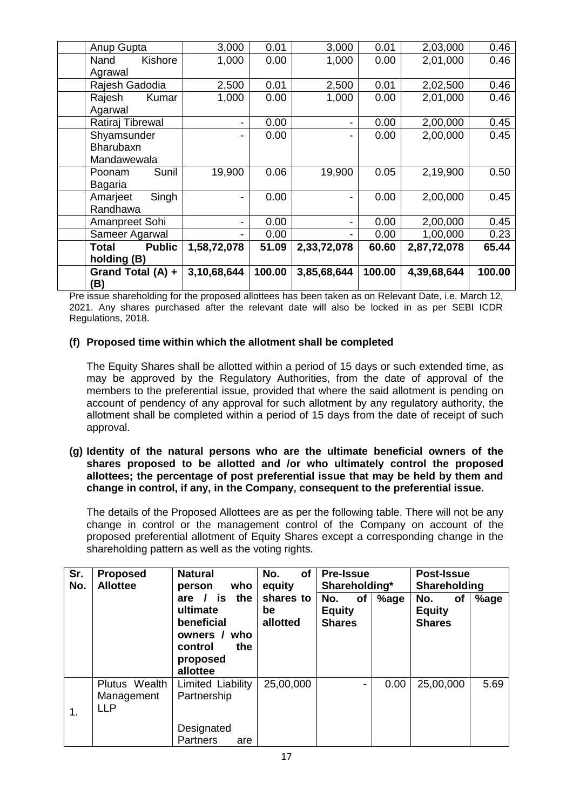| Grand Total (A) +<br>(B)                | 3,10,68,644 | 100.00 | 3,85,68,644 | 100.00 | 4,39,68,644 | 100.00 |
|-----------------------------------------|-------------|--------|-------------|--------|-------------|--------|
| holding (B)                             |             |        |             |        |             |        |
| <b>Public</b><br>Total                  | 1,58,72,078 | 51.09  | 2,33,72,078 | 60.60  | 2,87,72,078 | 65.44  |
| Sameer Agarwal                          | Ξ.          | 0.00   |             | 0.00   | 1,00,000    | 0.23   |
| Amanpreet Sohi                          | Ξ.          | 0.00   | Ξ.          | 0.00   | 2,00,000    | 0.45   |
| Singh<br>Amarjeet<br>Randhawa           | ۰           | 0.00   |             | 0.00   | 2,00,000    | 0.45   |
| Sunil<br>Poonam<br>Bagaria              | 19,900      | 0.06   | 19,900      | 0.05   | 2,19,900    | 0.50   |
| Shyamsunder<br>Bharubaxn<br>Mandawewala |             | 0.00   |             | 0.00   | 2,00,000    | 0.45   |
| Ratiraj Tibrewal                        | Ξ.          | 0.00   | -           | 0.00   | 2,00,000    | 0.45   |
| Kumar<br>Rajesh<br>Agarwal              | 1,000       | 0.00   | 1,000       | 0.00   | 2,01,000    | 0.46   |
| Agrawal<br>Rajesh Gadodia               | 2,500       | 0.01   | 2,500       | 0.01   | 2,02,500    | 0.46   |
| Kishore<br>Nand                         | 1,000       | 0.00   | 1,000       | 0.00   | 2,01,000    | 0.46   |
| Anup Gupta                              | 3,000       | 0.01   | 3,000       | 0.01   | 2,03,000    | 0.46   |

Pre issue shareholding for the proposed allottees has been taken as on Relevant Date, i.e. March 12, 2021. Any shares purchased after the relevant date will also be locked in as per SEBI ICDR Regulations, 2018.

# **(f) Proposed time within which the allotment shall be completed**

The Equity Shares shall be allotted within a period of 15 days or such extended time, as may be approved by the Regulatory Authorities, from the date of approval of the members to the preferential issue, provided that where the said allotment is pending on account of pendency of any approval for such allotment by any regulatory authority, the allotment shall be completed within a period of 15 days from the date of receipt of such approval.

**(g) Identity of the natural persons who are the ultimate beneficial owners of the shares proposed to be allotted and /or who ultimately control the proposed allottees; the percentage of post preferential issue that may be held by them and change in control, if any, in the Company, consequent to the preferential issue.**

The details of the Proposed Allottees are as per the following table. There will not be any change in control or the management control of the Company on account of the proposed preferential allotment of Equity Shares except a corresponding change in the shareholding pattern as well as the voting rights.

| Sr.<br>No. | <b>Proposed</b><br><b>Allottee</b>        | <b>Natural</b><br>who<br>person                                                                         | No.<br>of<br>equity         | <b>Pre-Issue</b><br>Shareholding*           |      | <b>Post-Issue</b><br>Shareholding           |      |  |
|------------|-------------------------------------------|---------------------------------------------------------------------------------------------------------|-----------------------------|---------------------------------------------|------|---------------------------------------------|------|--|
|            |                                           | the<br>is<br>are<br>ultimate<br>beneficial<br>owners /<br>who<br>the<br>control<br>proposed<br>allottee | shares to<br>be<br>allotted | No.<br>of<br><b>Equity</b><br><b>Shares</b> | %age | No.<br>οf<br><b>Equity</b><br><b>Shares</b> | %age |  |
| 1.         | Plutus Wealth<br>Management<br><b>LLP</b> | Limited Liability<br>Partnership<br>Designated<br><b>Partners</b><br>are                                | 25,00,000                   | -                                           | 0.00 | 25,00,000                                   | 5.69 |  |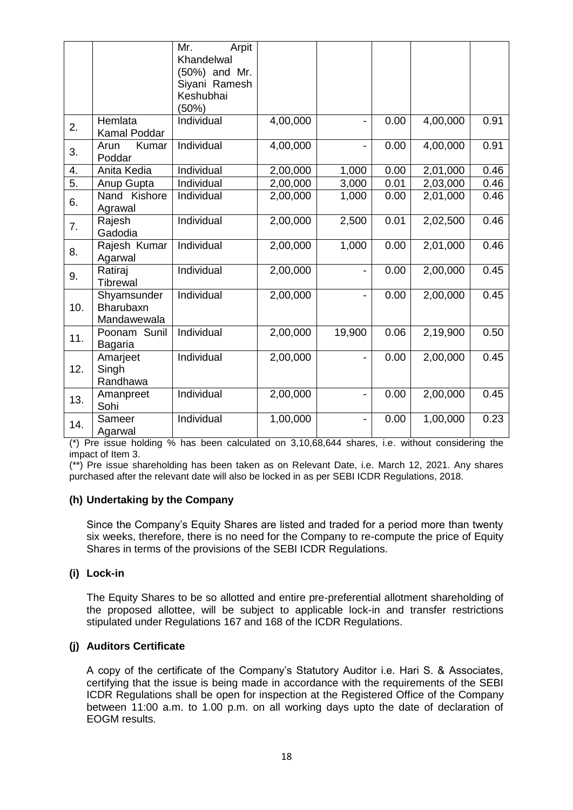|     |               | Arpit<br>Mr.  |          |                          |      |          |      |
|-----|---------------|---------------|----------|--------------------------|------|----------|------|
|     |               | Khandelwal    |          |                          |      |          |      |
|     |               | (50%) and Mr. |          |                          |      |          |      |
|     |               | Siyani Ramesh |          |                          |      |          |      |
|     |               | Keshubhai     |          |                          |      |          |      |
|     |               | (50%)         |          |                          |      |          |      |
|     | Hemlata       | Individual    | 4,00,000 | $\blacksquare$           | 0.00 | 4,00,000 | 0.91 |
| 2.  | Kamal Poddar  |               |          |                          |      |          |      |
| 3.  | Kumar<br>Arun | Individual    | 4,00,000 | -                        | 0.00 | 4,00,000 | 0.91 |
|     | Poddar        |               |          |                          |      |          |      |
| 4.  | Anita Kedia   | Individual    | 2,00,000 | 1,000                    | 0.00 | 2,01,000 | 0.46 |
| 5.  | Anup Gupta    | Individual    | 2,00,000 | 3,000                    | 0.01 | 2,03,000 | 0.46 |
| 6.  | Nand Kishore  | Individual    | 2,00,000 | 1,000                    | 0.00 | 2,01,000 | 0.46 |
|     | Agrawal       |               |          |                          |      |          |      |
| 7.  | Rajesh        | Individual    | 2,00,000 | 2,500                    | 0.01 | 2,02,500 | 0.46 |
|     | Gadodia       |               |          |                          |      |          |      |
| 8.  | Rajesh Kumar  | Individual    | 2,00,000 | 1,000                    | 0.00 | 2,01,000 | 0.46 |
|     | Agarwal       |               |          |                          |      |          |      |
| 9.  | Ratiraj       | Individual    | 2,00,000 | $\overline{\phantom{0}}$ | 0.00 | 2,00,000 | 0.45 |
|     | Tibrewal      |               |          |                          |      |          |      |
|     | Shyamsunder   | Individual    | 2,00,000 | $\blacksquare$           | 0.00 | 2,00,000 | 0.45 |
| 10. | Bharubaxn     |               |          |                          |      |          |      |
|     | Mandawewala   |               |          |                          |      |          |      |
|     | Poonam Sunil  | Individual    | 2,00,000 | 19,900                   | 0.06 | 2,19,900 | 0.50 |
| 11. | Bagaria       |               |          |                          |      |          |      |
|     | Amarjeet      | Individual    | 2,00,000 | $\overline{a}$           | 0.00 | 2,00,000 | 0.45 |
| 12. | Singh         |               |          |                          |      |          |      |
|     | Randhawa      |               |          |                          |      |          |      |
|     | Amanpreet     | Individual    | 2,00,000 | $\blacksquare$           | 0.00 | 2,00,000 | 0.45 |
| 13. | Sohi          |               |          |                          |      |          |      |
|     | Sameer        | Individual    | 1,00,000 | $\overline{\phantom{0}}$ | 0.00 | 1,00,000 | 0.23 |
| 14. | Agarwal       |               |          |                          |      |          |      |

(\*) Pre issue holding % has been calculated on 3,10,68,644 shares, i.e. without considering the impact of Item 3.

(\*\*) Pre issue shareholding has been taken as on Relevant Date, i.e. March 12, 2021. Any shares purchased after the relevant date will also be locked in as per SEBI ICDR Regulations, 2018.

#### **(h) Undertaking by the Company**

Since the Company's Equity Shares are listed and traded for a period more than twenty six weeks, therefore, there is no need for the Company to re-compute the price of Equity Shares in terms of the provisions of the SEBI ICDR Regulations.

#### **(i) Lock-in**

The Equity Shares to be so allotted and entire pre-preferential allotment shareholding of the proposed allottee, will be subject to applicable lock-in and transfer restrictions stipulated under Regulations 167 and 168 of the ICDR Regulations.

# **(j) Auditors Certificate**

A copy of the certificate of the Company"s Statutory Auditor i.e. Hari S. & Associates, certifying that the issue is being made in accordance with the requirements of the SEBI ICDR Regulations shall be open for inspection at the Registered Office of the Company between 11:00 a.m. to 1.00 p.m. on all working days upto the date of declaration of EOGM results.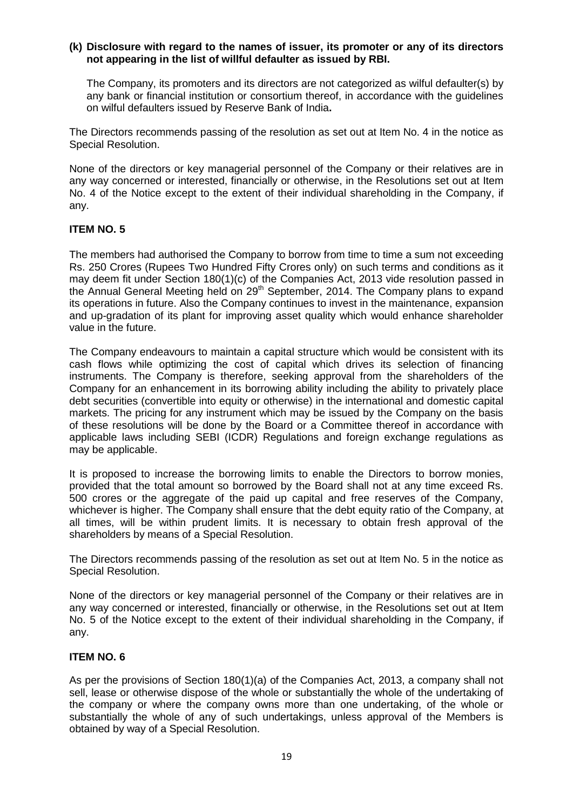## **(k) Disclosure with regard to the names of issuer, its promoter or any of its directors not appearing in the list of willful defaulter as issued by RBI.**

The Company, its promoters and its directors are not categorized as wilful defaulter(s) by any bank or financial institution or consortium thereof, in accordance with the guidelines on wilful defaulters issued by Reserve Bank of India**.**

The Directors recommends passing of the resolution as set out at Item No. 4 in the notice as Special Resolution.

None of the directors or key managerial personnel of the Company or their relatives are in any way concerned or interested, financially or otherwise, in the Resolutions set out at Item No. 4 of the Notice except to the extent of their individual shareholding in the Company, if any.

# **ITEM NO. 5**

The members had authorised the Company to borrow from time to time a sum not exceeding Rs. 250 Crores (Rupees Two Hundred Fifty Crores only) on such terms and conditions as it may deem fit under Section 180(1)(c) of the Companies Act, 2013 vide resolution passed in the Annual General Meeting held on 29<sup>th</sup> September, 2014. The Company plans to expand its operations in future. Also the Company continues to invest in the maintenance, expansion and up-gradation of its plant for improving asset quality which would enhance shareholder value in the future.

The Company endeavours to maintain a capital structure which would be consistent with its cash flows while optimizing the cost of capital which drives its selection of financing instruments. The Company is therefore, seeking approval from the shareholders of the Company for an enhancement in its borrowing ability including the ability to privately place debt securities (convertible into equity or otherwise) in the international and domestic capital markets. The pricing for any instrument which may be issued by the Company on the basis of these resolutions will be done by the Board or a Committee thereof in accordance with applicable laws including SEBI (ICDR) Regulations and foreign exchange regulations as may be applicable.

It is proposed to increase the borrowing limits to enable the Directors to borrow monies, provided that the total amount so borrowed by the Board shall not at any time exceed Rs. 500 crores or the aggregate of the paid up capital and free reserves of the Company, whichever is higher. The Company shall ensure that the debt equity ratio of the Company, at all times, will be within prudent limits. It is necessary to obtain fresh approval of the shareholders by means of a Special Resolution.

The Directors recommends passing of the resolution as set out at Item No. 5 in the notice as Special Resolution.

None of the directors or key managerial personnel of the Company or their relatives are in any way concerned or interested, financially or otherwise, in the Resolutions set out at Item No. 5 of the Notice except to the extent of their individual shareholding in the Company, if any.

# **ITEM NO. 6**

As per the provisions of Section 180(1)(a) of the Companies Act, 2013, a company shall not sell, lease or otherwise dispose of the whole or substantially the whole of the undertaking of the company or where the company owns more than one undertaking, of the whole or substantially the whole of any of such undertakings, unless approval of the Members is obtained by way of a Special Resolution.